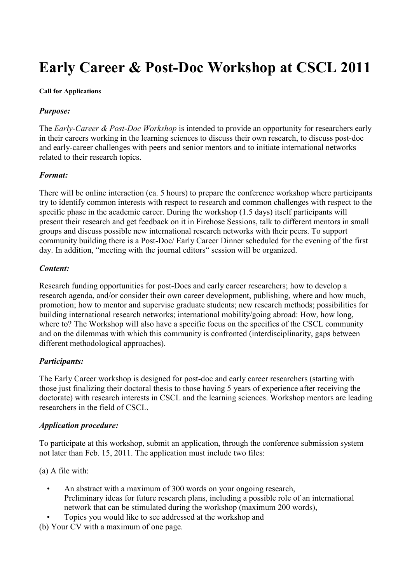# **Early Career & Post-Doc Workshop at CSCL 2011**

#### **Call for Applications**

# *Purpose:*

The *Early-Career & Post-Doc Workshop* is intended to provide an opportunity for researchers early in their careers working in the learning sciences to discuss their own research, to discuss post-doc and early-career challenges with peers and senior mentors and to initiate international networks related to their research topics.

# *Format:*

There will be online interaction (ca. 5 hours) to prepare the conference workshop where participants try to identify common interests with respect to research and common challenges with respect to the specific phase in the academic career. During the workshop (1.5 days) itself participants will present their research and get feedback on it in Firehose Sessions, talk to different mentors in small groups and discuss possible new international research networks with their peers. To support community building there is a Post-Doc/ Early Career Dinner scheduled for the evening of the first day. In addition, "meeting with the journal editors" session will be organized.

#### *Content:*

Research funding opportunities for post-Docs and early career researchers; how to develop a research agenda, and/or consider their own career development, publishing, where and how much, promotion; how to mentor and supervise graduate students; new research methods; possibilities for building international research networks; international mobility/going abroad: How, how long, where to? The Workshop will also have a specific focus on the specifics of the CSCL community and on the dilemmas with which this community is confronted (interdisciplinarity, gaps between different methodological approaches).

# *Participants:*

The Early Career workshop is designed for post-doc and early career researchers (starting with those just finalizing their doctoral thesis to those having 5 years of experience after receiving the doctorate) with research interests in CSCL and the learning sciences. Workshop mentors are leading researchers in the field of CSCL.

# *Application procedure:*

To participate at this workshop, submit an application, through the conference submission system not later than Feb. 15, 2011. The application must include two files:

(a) A file with:

- An abstract with a maximum of 300 words on your ongoing research, Preliminary ideas for future research plans, including a possible role of an international network that can be stimulated during the workshop (maximum 200 words),
- Topics you would like to see addressed at the workshop and

(b) Your CV with a maximum of one page.